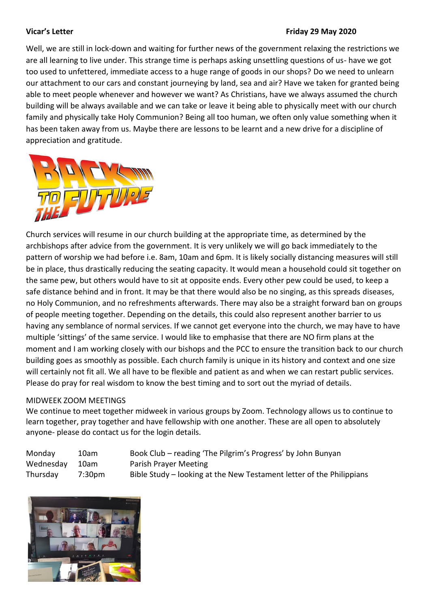#### **Vicar's Letter Friday 29 May 2020**

Well, we are still in lock-down and waiting for further news of the government relaxing the restrictions we are all learning to live under. This strange time is perhaps asking unsettling questions of us- have we got too used to unfettered, immediate access to a huge range of goods in our shops? Do we need to unlearn our attachment to our cars and constant journeying by land, sea and air? Have we taken for granted being able to meet people whenever and however we want? As Christians, have we always assumed the church building will be always available and we can take or leave it being able to physically meet with our church family and physically take Holy Communion? Being all too human, we often only value something when it has been taken away from us. Maybe there are lessons to be learnt and a new drive for a discipline of appreciation and gratitude.



Church services will resume in our church building at the appropriate time, as determined by the archbishops after advice from the government. It is very unlikely we will go back immediately to the pattern of worship we had before i.e. 8am, 10am and 6pm. It is likely socially distancing measures will still be in place, thus drastically reducing the seating capacity. It would mean a household could sit together on the same pew, but others would have to sit at opposite ends. Every other pew could be used, to keep a safe distance behind and in front. It may be that there would also be no singing, as this spreads diseases, no Holy Communion, and no refreshments afterwards. There may also be a straight forward ban on groups of people meeting together. Depending on the details, this could also represent another barrier to us having any semblance of normal services. If we cannot get everyone into the church, we may have to have multiple 'sittings' of the same service. I would like to emphasise that there are NO firm plans at the moment and I am working closely with our bishops and the PCC to ensure the transition back to our church building goes as smoothly as possible. Each church family is unique in its history and context and one size will certainly not fit all. We all have to be flexible and patient as and when we can restart public services. Please do pray for real wisdom to know the best timing and to sort out the myriad of details.

# MIDWEEK ZOOM MEETINGS

We continue to meet together midweek in various groups by Zoom. Technology allows us to continue to learn together, pray together and have fellowship with one another. These are all open to absolutely anyone- please do contact us for the login details.

| Monday    | 10am   | Book Club – reading 'The Pilgrim's Progress' by John Bunyan          |
|-----------|--------|----------------------------------------------------------------------|
| Wednesday | 10am   | Parish Prayer Meeting                                                |
| Thursday  | 7:30pm | Bible Study – looking at the New Testament letter of the Philippians |

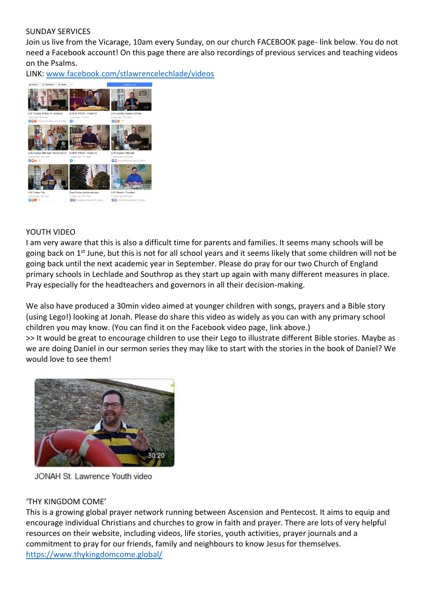## SUNDAY SERVICES

Join us live from the Vicarage, 10am every Sunday, on our church FACEBOOK page- link below. You do not need a Facebook account! On this page there are also recordings of previous services and teaching videos on the Psalms.

LINK: [www.facebook.com/stlawrencelechlade/videos](http://www.facebook.com/stlawrencelechlade/videos)



## YOUTH VIDEO

I am very aware that this is also a difficult time for parents and families. It seems many schools will be going back on  $1<sup>st</sup>$  June, but this is not for all school years and it seems likely that some children will not be going back until the next academic year in September. Please do pray for our two Church of England primary schools in Lechlade and Southrop as they start up again with many different measures in place. Pray especially for the headteachers and governors in all their decision-making.

We also have produced a 30min video aimed at younger children with songs, prayers and a Bible story (using Lego!) looking at Jonah. Please do share this video as widely as you can with any primary school children you may know. (You can find it on the Facebook video page, link above.) >> It would be great to encourage children to use their Lego to illustrate different Bible stories. Maybe as we are doing Daniel in our sermon series they may like to start with the stories in the book of Daniel? We would love to see them!



JONAH St. Lawrence Youth video

# 'THY KINGDOM COME'

This is a growing global prayer network running between Ascension and Pentecost. It aims to equip and encourage individual Christians and churches to grow in faith and prayer. There are lots of very helpful resources on their website, including videos, life stories, youth activities, prayer journals and a commitment to pray for our friends, family and neighbours to know Jesus for themselves. <https://www.thykingdomcome.global/>